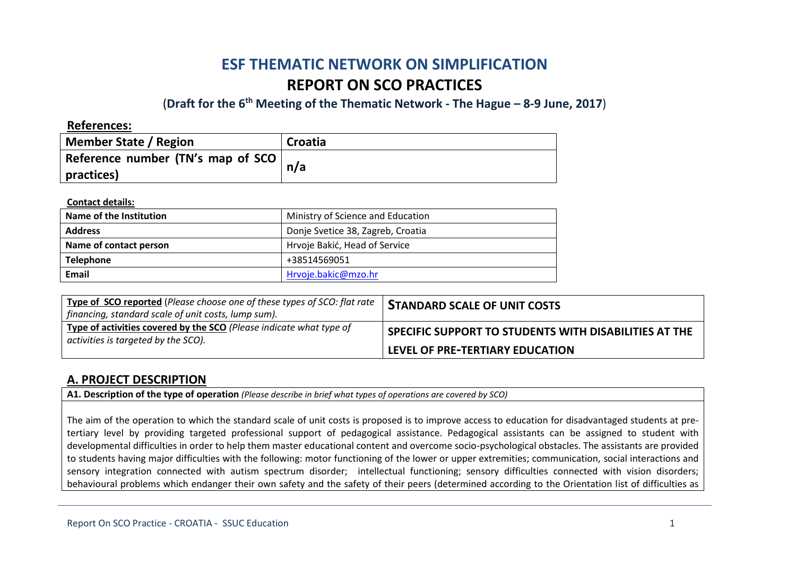# **ESF THEMATIC NETWORK ON SIMPLIFICATION REPORT ON SCO PRACTICES**

(**Draft for the 6th Meeting of the Thematic Network - The Hague – 8-9 June, 2017**)

**References:**

| Member State / Region                     | Croatia |
|-------------------------------------------|---------|
| Reference number (TN's map of SCO $\vert$ | n/a     |
| practices)                                |         |

**Contact details:**

| Name of the Institution | Ministry of Science and Education |
|-------------------------|-----------------------------------|
| <b>Address</b>          | Donje Svetice 38, Zagreb, Croatia |
| Name of contact person  | Hrvoje Bakić, Head of Service     |
| <b>Telephone</b>        | +38514569051                      |
| Email                   | Hrvoje.bakic@mzo.hr               |

| Type of SCO reported (Please choose one of these types of SCO: flat rate<br>  financing, standard scale of unit costs, lump sum). | <b>STANDARD SCALE OF UNIT COSTS</b>                   |
|-----------------------------------------------------------------------------------------------------------------------------------|-------------------------------------------------------|
| Type of activities covered by the SCO (Please indicate what type of<br>activities is targeted by the SCO).                        | SPECIFIC SUPPORT TO STUDENTS WITH DISABILITIES AT THE |
|                                                                                                                                   | <b>LEVEL OF PRE-TERTIARY EDUCATION</b>                |

### **A. PROJECT DESCRIPTION**

**A1. Description of the type of operation** *(Please describe in brief what types of operations are covered by SCO)*

The aim of the operation to which the standard scale of unit costs is proposed is to improve access to education for disadvantaged students at pretertiary level by providing targeted professional support of pedagogical assistance. Pedagogical assistants can be assigned to student with developmental difficulties in order to help them master educational content and overcome socio-psychological obstacles. The assistants are provided to students having major difficulties with the following: motor functioning of the lower or upper extremities; communication, social interactions and sensory integration connected with autism spectrum disorder; intellectual functioning; sensory difficulties connected with vision disorders; behavioural problems which endanger their own safety and the safety of their peers (determined according to the Orientation list of difficulties as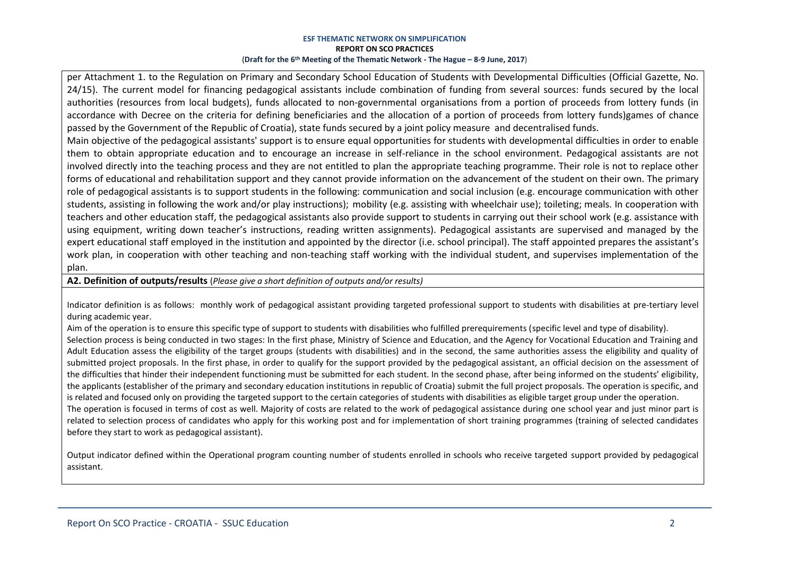per Attachment 1. to the Regulation on Primary and Secondary School Education of Students with Developmental Difficulties (Official Gazette, No. 24/15). The current model for financing pedagogical assistants include combination of funding from several sources: funds secured by the local authorities (resources from local budgets), funds allocated to non-governmental organisations from a portion of proceeds from lottery funds (in accordance with Decree on the criteria for defining beneficiaries and the allocation of a portion of proceeds from lottery funds)games of chance passed by the Government of the Republic of Croatia), state funds secured by a joint policy measure and decentralised funds.

Main objective of the pedagogical assistants' support is to ensure equal opportunities for students with developmental difficulties in order to enable them to obtain appropriate education and to encourage an increase in self-reliance in the school environment. Pedagogical assistants are not involved directly into the teaching process and they are not entitled to plan the appropriate teaching programme. Their role is not to replace other forms of educational and rehabilitation support and they cannot provide information on the advancement of the student on their own. The primary role of pedagogical assistants is to support students in the following: communication and social inclusion (e.g. encourage communication with other students, assisting in following the work and/or play instructions); mobility (e.g. assisting with wheelchair use); toileting; meals. In cooperation with teachers and other education staff, the pedagogical assistants also provide support to students in carrying out their school work (e.g. assistance with using equipment, writing down teacher's instructions, reading written assignments). Pedagogical assistants are supervised and managed by the expert educational staff employed in the institution and appointed by the director (i.e. school principal). The staff appointed prepares the assistant's work plan, in cooperation with other teaching and non-teaching staff working with the individual student, and supervises implementation of the plan.

#### **A2. Definition of outputs/results** (*Please give a short definition of outputs and/or results)*

Indicator definition is as follows: monthly work of pedagogical assistant providing targeted professional support to students with disabilities at pre-tertiary level during academic year.

Aim of the operation is to ensure this specific type of support to students with disabilities who fulfilled prerequirements (specific level and type of disability). Selection process is being conducted in two stages: In the first phase, Ministry of Science and Education, and the Agency for Vocational Education and Training and Adult Education assess the eligibility of the target groups (students with disabilities) and in the second, the same authorities assess the eligibility and quality of submitted project proposals. In the first phase, in order to qualify for the support provided by the pedagogical assistant, an official decision on the assessment of the difficulties that hinder their independent functioning must be submitted for each student. In the second phase, after being informed on the students' eligibility, the applicants (establisher of the primary and secondary education institutions in republic of Croatia) submit the full project proposals. The operation is specific, and is related and focused only on providing the targeted support to the certain categories of students with disabilities as eligible target group under the operation. The operation is focused in terms of cost as well. Majority of costs are related to the work of pedagogical assistance during one school year and just minor part is related to selection process of candidates who apply for this working post and for implementation of short training programmes (training of selected candidates before they start to work as pedagogical assistant).

Output indicator defined within the Operational program counting number of students enrolled in schools who receive targeted support provided by pedagogical assistant.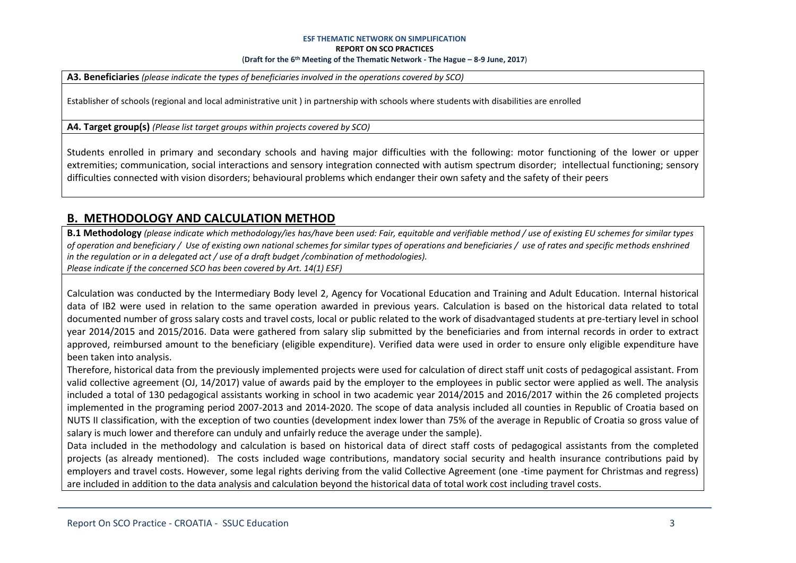**A3. Beneficiaries** *(please indicate the types of beneficiaries involved in the operations covered by SCO)*

Establisher of schools (regional and local administrative unit ) in partnership with schools where students with disabilities are enrolled

**A4. Target group(s)** *(Please list target groups within projects covered by SCO)*

Students enrolled in primary and secondary schools and having major difficulties with the following: motor functioning of the lower or upper extremities; communication, social interactions and sensory integration connected with autism spectrum disorder; intellectual functioning; sensory difficulties connected with vision disorders; behavioural problems which endanger their own safety and the safety of their peers

### **B. METHODOLOGY AND CALCULATION METHOD**

**B.1 Methodology** *(please indicate which methodology/ies has/have been used: Fair, equitable and verifiable method / use of existing EU schemes for similar types of operation and beneficiary / Use of existing own national schemes for similar types of operations and beneficiaries / use of rates and specific methods enshrined in the regulation or in a delegated act / use of a draft budget /combination of methodologies). Please indicate if the concerned SCO has been covered by Art. 14(1) ESF)*

Calculation was conducted by the Intermediary Body level 2, Agency for Vocational Education and Training and Adult Education. Internal historical data of IB2 were used in relation to the same operation awarded in previous years. Calculation is based on the historical data related to total documented number of gross salary costs and travel costs, local or public related to the work of disadvantaged students at pre-tertiary level in school year 2014/2015 and 2015/2016. Data were gathered from salary slip submitted by the beneficiaries and from internal records in order to extract approved, reimbursed amount to the beneficiary (eligible expenditure). Verified data were used in order to ensure only eligible expenditure have been taken into analysis.

Therefore, historical data from the previously implemented projects were used for calculation of direct staff unit costs of pedagogical assistant. From valid collective agreement (OJ, 14/2017) value of awards paid by the employer to the employees in public sector were applied as well. The analysis included a total of 130 pedagogical assistants working in school in two academic year 2014/2015 and 2016/2017 within the 26 completed projects implemented in the programing period 2007-2013 and 2014-2020. The scope of data analysis included all counties in Republic of Croatia based on NUTS II classification, with the exception of two counties (development index lower than 75% of the average in Republic of Croatia so gross value of salary is much lower and therefore can unduly and unfairly reduce the average under the sample).

Data included in the methodology and calculation is based on historical data of direct staff costs of pedagogical assistants from the completed projects (as already mentioned). The costs included wage contributions, mandatory social security and health insurance contributions paid by employers and travel costs. However, some legal rights deriving from the valid Collective Agreement (one -time payment for Christmas and regress) are included in addition to the data analysis and calculation beyond the historical data of total work cost including travel costs.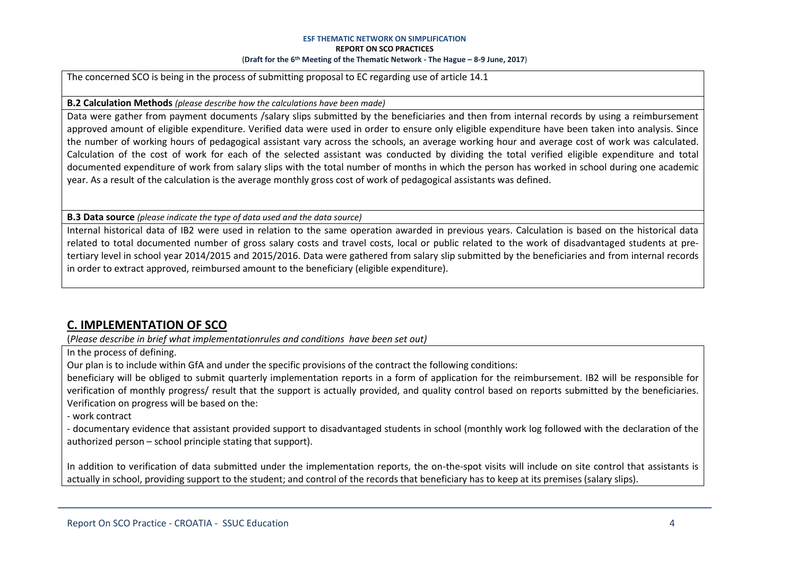The concerned SCO is being in the process of submitting proposal to EC regarding use of article 14.1

#### **B.2 Calculation Methods** *(please describe how the calculations have been made)*

Data were gather from payment documents /salary slips submitted by the beneficiaries and then from internal records by using a reimbursement approved amount of eligible expenditure. Verified data were used in order to ensure only eligible expenditure have been taken into analysis. Since the number of working hours of pedagogical assistant vary across the schools, an average working hour and average cost of work was calculated. Calculation of the cost of work for each of the selected assistant was conducted by dividing the total verified eligible expenditure and total documented expenditure of work from salary slips with the total number of months in which the person has worked in school during one academic year. As a result of the calculation is the average monthly gross cost of work of pedagogical assistants was defined.

#### **B.3 Data source** *(please indicate the type of data used and the data source)*

Internal historical data of IB2 were used in relation to the same operation awarded in previous years. Calculation is based on the historical data related to total documented number of gross salary costs and travel costs, local or public related to the work of disadvantaged students at pretertiary level in school year 2014/2015 and 2015/2016. Data were gathered from salary slip submitted by the beneficiaries and from internal records in order to extract approved, reimbursed amount to the beneficiary (eligible expenditure).

#### **C. IMPLEMENTATION OF SCO**

(*Please describe in brief what implementationrules and conditions have been set out)*

In the process of defining.

Our plan is to include within GfA and under the specific provisions of the contract the following conditions:

beneficiary will be obliged to submit quarterly implementation reports in a form of application for the reimbursement. IB2 will be responsible for verification of monthly progress/ result that the support is actually provided, and quality control based on reports submitted by the beneficiaries. Verification on progress will be based on the:

- work contract

- documentary evidence that assistant provided support to disadvantaged students in school (monthly work log followed with the declaration of the authorized person – school principle stating that support).

In addition to verification of data submitted under the implementation reports, the on-the-spot visits will include on site control that assistants is actually in school, providing support to the student; and control of the records that beneficiary has to keep at its premises (salary slips).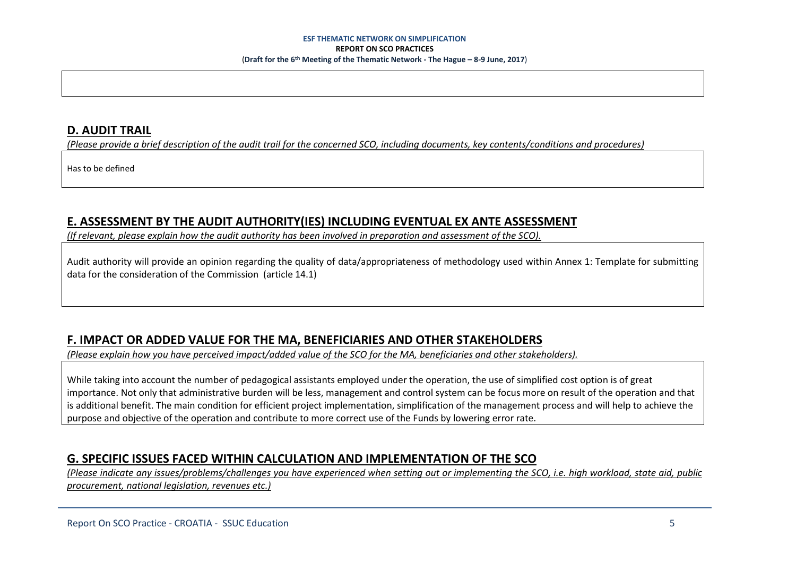### **D. AUDIT TRAIL**

*(Please provide a brief description of the audit trail for the concerned SCO, including documents, key contents/conditions and procedures)*

Has to be defined

### **E. ASSESSMENT BY THE AUDIT AUTHORITY(IES) INCLUDING EVENTUAL EX ANTE ASSESSMENT**

*(If relevant, please explain how the audit authority has been involved in preparation and assessment of the SCO).* 

Audit authority will provide an opinion regarding the quality of data/appropriateness of methodology used within Annex 1: Template for submitting data for the consideration of the Commission (article 14.1)

# **F. IMPACT OR ADDED VALUE FOR THE MA, BENEFICIARIES AND OTHER STAKEHOLDERS**

*(Please explain how you have perceived impact/added value of the SCO for the MA, beneficiaries and other stakeholders).* 

While taking into account the number of pedagogical assistants employed under the operation, the use of simplified cost option is of great importance. Not only that administrative burden will be less, management and control system can be focus more on result of the operation and that is additional benefit. The main condition for efficient project implementation, simplification of the management process and will help to achieve the purpose and objective of the operation and contribute to more correct use of the Funds by lowering error rate.

# **G. SPECIFIC ISSUES FACED WITHIN CALCULATION AND IMPLEMENTATION OF THE SCO**

*(Please indicate any issues/problems/challenges you have experienced when setting out or implementing the SCO, i.e. high workload, state aid, public procurement, national legislation, revenues etc.)*